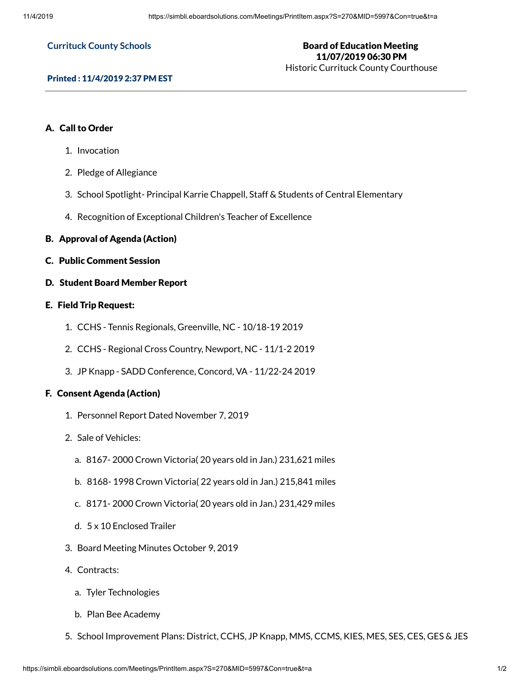#### **Currituck County Schools**

# Board of Education Meeting 11/07/2019 06:30 PM

Historic Currituck County Courthouse

### Printed : 11/4/2019 2:37 PM EST

# A. Call to Order

- 1. Invocation
- 2. Pledge of Allegiance
- 3. School Spotlight- Principal Karrie Chappell, Staff & Students of Central Elementary
- 4. Recognition of Exceptional Children's Teacher of Excellence
- B. Approval of Agenda (Action)
- C. Public Comment Session
- D. Student Board Member Report

# E. Field Trip Request:

- 1. CCHS Tennis Regionals, Greenville, NC 10/18-19 2019
- 2. CCHS Regional Cross Country, Newport, NC 11/1-2 2019
- 3. JP Knapp SADD Conference, Concord, VA 11/22-24 2019

# F. Consent Agenda (Action)

- 1. Personnel Report Dated November 7, 2019
- 2. Sale of Vehicles:
	- a. 8167- 2000 Crown Victoria( 20 years old in Jan.) 231,621 miles
	- b. 8168- 1998 Crown Victoria( 22 years old in Jan.) 215,841 miles
	- c. 8171- 2000 Crown Victoria( 20 years old in Jan.) 231,429 miles
	- d. 5 x 10 Enclosed Trailer
- 3. Board Meeting Minutes October 9, 2019
- 4. Contracts:
	- a. Tyler Technologies
	- b. Plan Bee Academy
- 5. School Improvement Plans: District, CCHS, JP Knapp, MMS, CCMS, KIES, MES, SES, CES, GES & JES